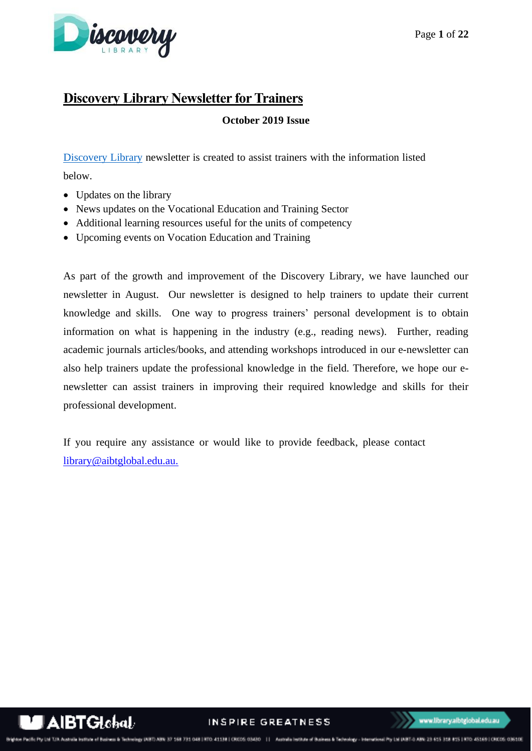

# **Discovery Library Newsletter for Trainers**

**October 2019 Issue**

[Discovery Library](https://library.aibtglobal.edu.au/?utm_source=greenbar&utm_medium=url) newsletter is created to assist trainers with the information listed below.

- Updates on the library
- News updates on the Vocational Education and Training Sector
- Additional learning resources useful for the units of competency
- Upcoming events on Vocation Education and Training

As part of the growth and improvement of the Discovery Library, we have launched our newsletter in August. Our newsletter is designed to help trainers to update their current knowledge and skills. One way to progress trainers' personal development is to obtain information on what is happening in the industry (e.g., reading news). Further, reading academic journals articles/books, and attending workshops introduced in our e-newsletter can also help trainers update the professional knowledge in the field. Therefore, we hope our enewsletter can assist trainers in improving their required knowledge and skills for their professional development.

If you require any assistance or would like to provide feedback, please contact [library@aibtglobal.edu.au.](mailto:library@aibtglobal.edu.au)

AIBTGlebaL

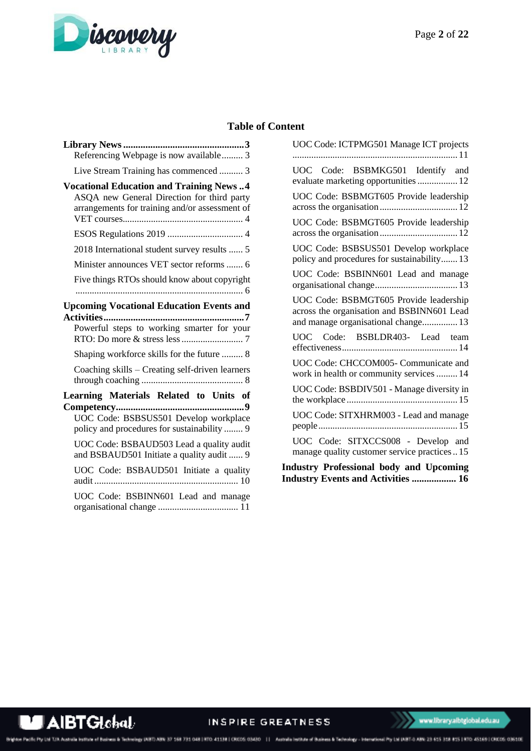

# **Table of Content**

| Referencing Webpage is now available 3                                                                                                                                                         |
|------------------------------------------------------------------------------------------------------------------------------------------------------------------------------------------------|
| Live Stream Training has commenced  3                                                                                                                                                          |
| <b>Vocational Education and Training News4</b><br>ASQA new General Direction for third party<br>arrangements for training and/or assessment of                                                 |
|                                                                                                                                                                                                |
| 2018 International student survey results  5                                                                                                                                                   |
| Minister announces VET sector reforms  6                                                                                                                                                       |
| Five things RTOs should know about copyright                                                                                                                                                   |
| <b>Upcoming Vocational Education Events and</b><br>Powerful steps to working smarter for your<br>Shaping workforce skills for the future  8<br>Coaching skills - Creating self-driven learners |
|                                                                                                                                                                                                |
| Learning Materials Related to Units of<br>UOC Code: BSBSUS501 Develop workplace<br>policy and procedures for sustainability  9                                                                 |
| UOC Code: BSBAUD503 Lead a quality audit<br>and BSBAUD501 Initiate a quality audit  9                                                                                                          |
| UOC Code: BSBAUD501 Initiate a quality                                                                                                                                                         |
| UOC Code: BSBINN601 Lead and manage                                                                                                                                                            |

| UOC Code: ICTPMG501 Manage ICT projects                                                                                     |
|-----------------------------------------------------------------------------------------------------------------------------|
| UOC Code: BSBMKG501 Identify and<br>evaluate marketing opportunities  12                                                    |
| UOC Code: BSBMGT605 Provide leadership                                                                                      |
| UOC Code: BSBMGT605 Provide leadership                                                                                      |
| UOC Code: BSBSUS501 Develop workplace<br>policy and procedures for sustainability 13                                        |
| UOC Code: BSBINN601 Lead and manage                                                                                         |
| UOC Code: BSBMGT605 Provide leadership<br>across the organisation and BSBINN601 Lead<br>and manage organisational change 13 |
| UOC Code: BSBLDR403- Lead team                                                                                              |
| UOC Code: CHCCOM005- Communicate and<br>work in health or community services  14                                            |
| UOC Code: BSBDIV501 - Manage diversity in                                                                                   |
| UOC Code: SITXHRM003 - Lead and manage                                                                                      |
| UOC Code: SITXCCS008 - Develop and<br>manage quality customer service practices  15                                         |
| <b>Industry Professional body and Upcoming</b><br><b>Industry Events and Activities  16</b>                                 |

**AIBTGlobal** 

INSPIRE GREATNESS Brighton Pacific Pty Ltd T/A Australia Institute of Business & Technology DIBTD ABN 37 168 731 048 | RTC: 41138 | CRCCS: 03430 | | | Australia Institute of Business & Technology - International Pty Ltd DIBTED ABN: 23 615 3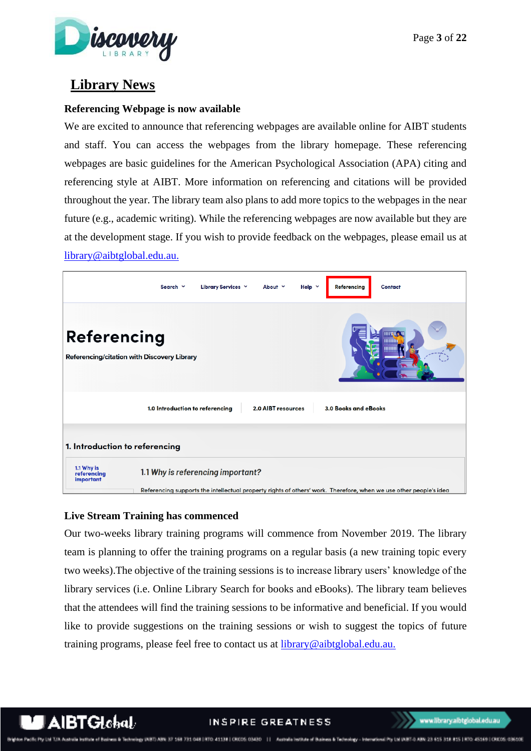

# <span id="page-2-0"></span>**Library News**

#### <span id="page-2-1"></span>**Referencing Webpage is now available**

We are excited to announce that referencing webpages are available online for AIBT students and staff. You can access the webpages from the library homepage. These referencing webpages are basic guidelines for the American Psychological Association (APA) citing and referencing style at AIBT. More information on referencing and citations will be provided throughout the year. The library team also plans to add more topics to the webpages in the near future (e.g., academic writing). While the referencing webpages are now available but they are at the development stage. If you wish to provide feedback on the webpages, please email us at [library@aibtglobal.edu.au.](mailto:library@aibtglobal.edu.au)



#### <span id="page-2-2"></span>**Live Stream Training has commenced**

Our two-weeks library training programs will commence from November 2019. The library team is planning to offer the training programs on a regular basis (a new training topic every two weeks).The objective of the training sessions is to increase library users' knowledge of the library services (i.e. Online Library Search for books and eBooks). The library team believes that the attendees will find the training sessions to be informative and beneficial. If you would like to provide suggestions on the training sessions or wish to suggest the topics of future training programs, please feel free to contact us at **library@aibtglobal.edu.au.** 

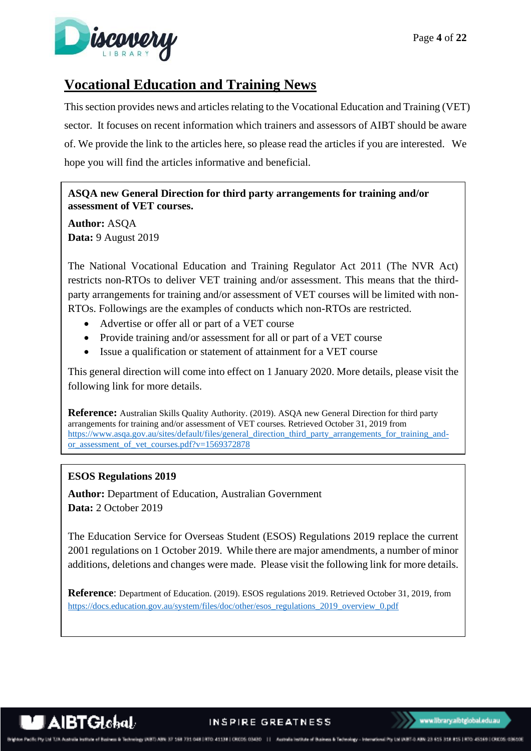

# <span id="page-3-0"></span>**Vocational Education and Training News**

This section provides news and articles relating to the Vocational Education and Training (VET) sector. It focuses on recent information which trainers and assessors of AIBT should be aware of. We provide the link to the articles here, so please read the articles if you are interested. We hope you will find the articles informative and beneficial.

# **ASQA new General Direction for third party arrangements for training and/or assessment of VET courses.**

**Author:** ASQA **Data:** 9 August 2019

The National Vocational Education and Training Regulator Act 2011 (The NVR Act) restricts non-RTOs to deliver VET training and/or assessment. This means that the thirdparty arrangements for training and/or assessment of VET courses will be limited with non-RTOs. Followings are the examples of conducts which non-RTOs are restricted.

- Advertise or offer all or part of a VET course
- Provide training and/or assessment for all or part of a VET course
- Issue a qualification or statement of attainment for a VET course

This general direction will come into effect on 1 January 2020. More details, please visit the following link for more details.

**Reference:** Australian Skills Quality Authority. (2019). ASQA new General Direction for third party arrangements for training and/or assessment of VET courses. Retrieved October 31, 2019 from [https://www.asqa.gov.au/sites/default/files/general\\_direction\\_third\\_party\\_arrangements\\_for\\_training\\_and](https://www.asqa.gov.au/sites/default/files/general_direction_third_party_arrangements_for_training_and-or_assessment_of_vet_courses.pdf?v=1569372878)[or\\_assessment\\_of\\_vet\\_courses.pdf?v=1569372878](https://www.asqa.gov.au/sites/default/files/general_direction_third_party_arrangements_for_training_and-or_assessment_of_vet_courses.pdf?v=1569372878)

#### **ESOS Regulations 2019**

**Author:** Department of Education, Australian Government **Data:** 2 October 2019

The Education Service for Overseas Student (ESOS) Regulations 2019 replace the current 2001 regulations on 1 October 2019. While there are major amendments, a number of minor additions, deletions and changes were made. Please visit the following link for more details.

**Reference**: Department of Education. (2019). ESOS regulations 2019. Retrieved October 31, 2019, from [https://docs.education.gov.au/system/files/doc/other/esos\\_regulations\\_2019\\_overview\\_0.pdf](https://docs.education.gov.au/system/files/doc/other/esos_regulations_2019_overview_0.pdf)



INSPIRE GREATNESS

www.library.aibtglobaLedu.au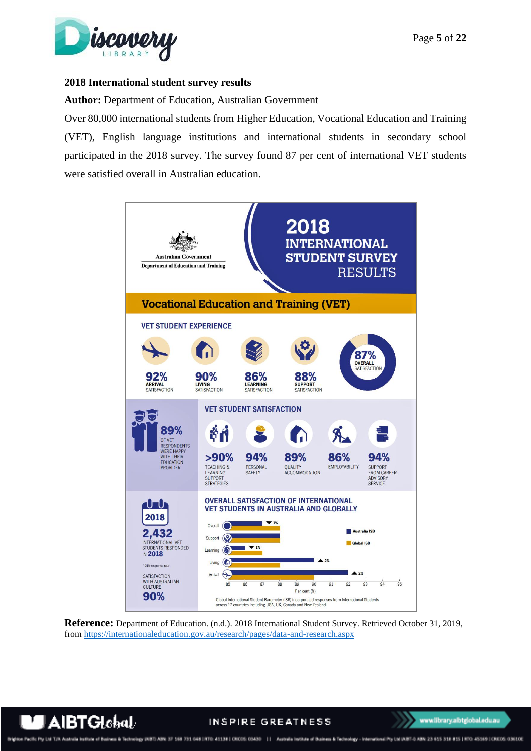

#### <span id="page-4-0"></span>**2018 International student survey results**

#### **Author:** Department of Education, Australian Government

Over 80,000 international students from Higher Education, Vocational Education and Training (VET), English language institutions and international students in secondary school participated in the 2018 survey. The survey found 87 per cent of international VET students were satisfied overall in Australian education.



**Reference:** Department of Education. (n.d.). 2018 International Student Survey. Retrieved October 31, 2019, from<https://internationaleducation.gov.au/research/pages/data-and-research.aspx>



#### INSPIRE GREATNESS

es à Techningy (NBT) ABN 37 168 731 048 | RTO: 41138 | CROSS 03430 | | | Australia Institute of Business & Technology - International Pty Ltd (ABT-0 ABN: 25 615 318 815 | RTO: 45169 | CROSS 03610E on Pacific Pty Ltd T/A A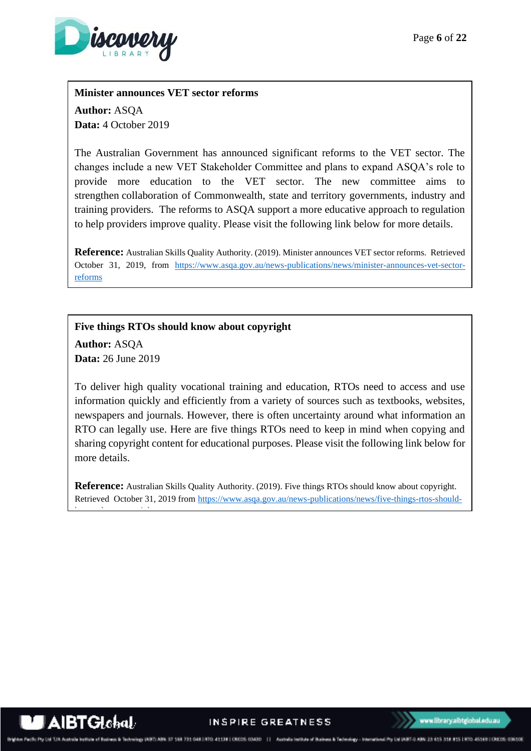

#### **Minister announces VET sector reforms**

**Author:** ASQA **Data:** 4 October 2019

The Australian Government has announced significant reforms to the VET sector. The changes include a new VET Stakeholder Committee and plans to expand ASQA's role to provide more education to the VET sector. The new committee aims to strengthen collaboration of Commonwealth, state and territory governments, industry and training providers. The reforms to ASQA support a more educative approach to regulation to help providers improve quality. Please visit the following link below for more details.

**Reference:** Australian Skills Quality Authority. (2019). Minister announces VET sector reforms. Retrieved October 31, 2019, from [https://www.asqa.gov.au/news-publications/news/minister-announces-vet-sector](https://www.asqa.gov.au/news-publications/news/minister-announces-vet-sector-reforms)[reforms](https://www.asqa.gov.au/news-publications/news/minister-announces-vet-sector-reforms)

**Five things RTOs should know about copyright**

**Author:** ASQA **Data:** 26 June 2019

[know-about-copyright](https://www.asqa.gov.au/news-publications/news/five-things-rtos-should-know-about-copyright)

To deliver high quality vocational training and education, RTOs need to access and use information quickly and efficiently from a variety of sources such as textbooks, websites, newspapers and journals. However, there is often uncertainty around what information an RTO can legally use. Here are five things RTOs need to keep in mind when copying and sharing copyright content for educational purposes. Please visit the following link below for more details.

**Reference:** Australian Skills Quality Authority. (2019). Five things RTOs should know about copyright. Retrieved October 31, 2019 fro[m https://www.asqa.gov.au/news-publications/news/five-things-rtos-should-](https://www.asqa.gov.au/news-publications/news/five-things-rtos-should-know-about-copyright)

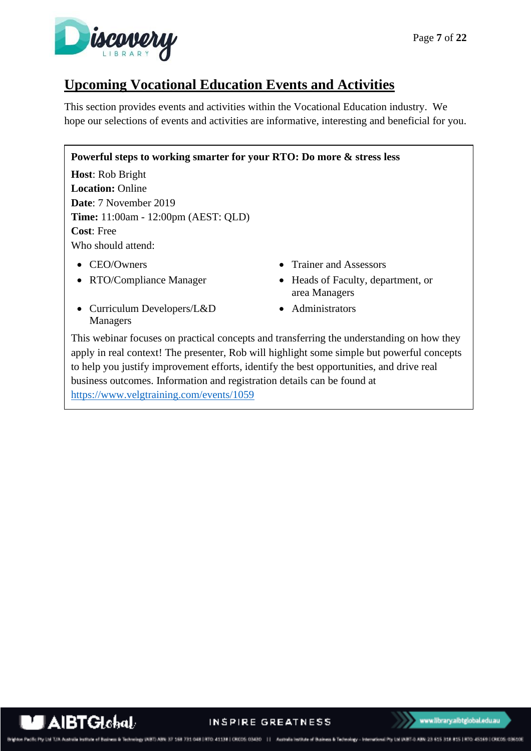

# <span id="page-6-0"></span>**Upcoming Vocational Education Events and Activities**

This section provides events and activities within the Vocational Education industry. We hope our selections of events and activities are informative, interesting and beneficial for you.

#### **Powerful steps to working smarter for your RTO: Do more & stress less**

**Host**: Rob Bright **Location:** Online **Date**: 7 November 2019 **Time:** 11:00am - 12:00pm (AEST: QLD) **Cost**: Free Who should attend:

- 
- 
- Curriculum Developers/L&D Managers
- CEO/Owners Trainer and Assessors
- RTO/Compliance Manager Heads of Faculty, department, or area Managers
	- Administrators

This webinar focuses on practical concepts and transferring the understanding on how they apply in real context! The presenter, Rob will highlight some simple but powerful concepts to help you justify improvement efforts, identify the best opportunities, and drive real business outcomes. Information and registration details can be found at <https://www.velgtraining.com/events/1059>



chrology INBT) ABN: 37 568 731 048 | RTO: 41138 | CRCOS 03430 | | | Australia Institute of Business & Technology - International Pty Ltd INBT-0 ABN: 23 615 318 815 | RTO: 45169 | CRCOS 03610E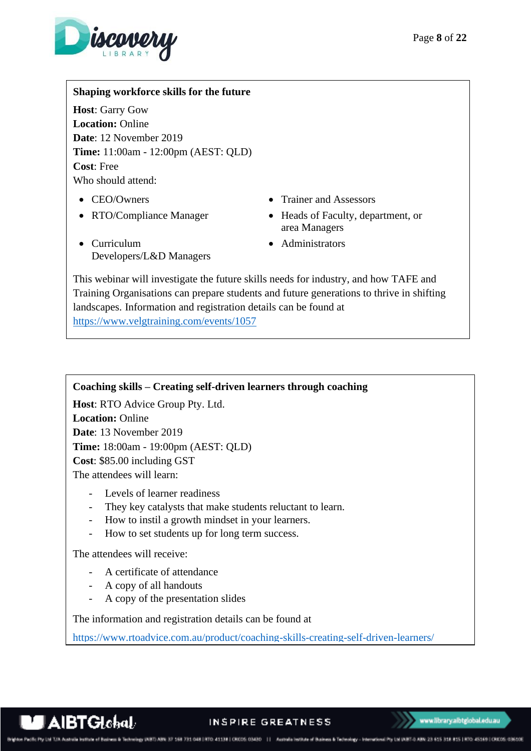

# **Shaping workforce skills for the future**

**Host**: Garry Gow **Location:** Online **Date**: 12 November 2019 **Time:** 11:00am - 12:00pm (AEST: QLD) **Cost**: Free Who should attend:

- 
- 
- CEO/Owners Trainer and Assessors
- RTO/Compliance Manager Heads of Faculty, department, or area Managers
- Curriculum Developers/L&D Managers
- Administrators

This webinar will investigate the future skills needs for industry, and how TAFE and Training Organisations can prepare students and future generations to thrive in shifting landscapes. Information and registration details can be found at <https://www.velgtraining.com/events/1057>

#### **Coaching skills – Creating self-driven learners through coaching**

**Host**: RTO Advice Group Pty. Ltd. **Location:** Online **Date**: 13 November 2019 **Time:** 18:00am - 19:00pm (AEST: QLD) **Cost**: \$85.00 including GST The attendees will learn:

- Levels of learner readiness
- They key catalysts that make students reluctant to learn.
- How to instil a growth mindset in your learners.
- How to set students up for long term success.

The attendees will receive:

- A certificate of attendance
- A copy of all handouts
- A copy of the presentation slides

The information and registration details can be found at

<https://www.rtoadvice.com.au/product/coaching-skills-creating-self-driven-learners/>

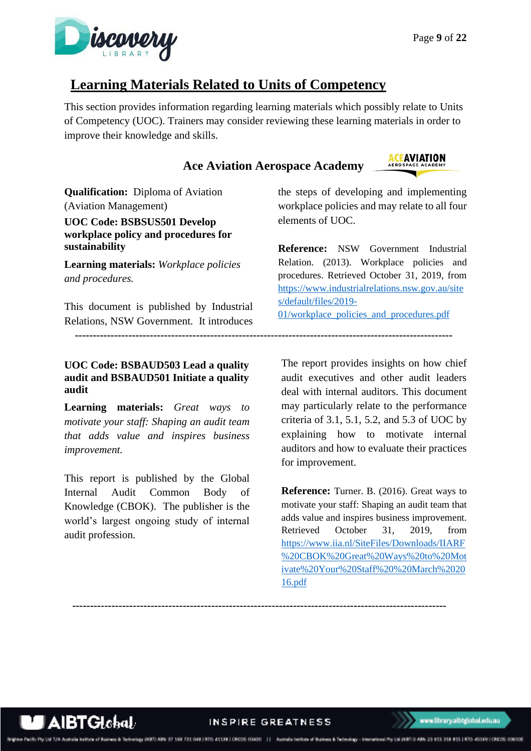

**ACEAVIATION** 

# <span id="page-8-0"></span>**Learning Materials Related to Units of Competency**

This section provides information regarding learning materials which possibly relate to Units of Competency (UOC). Trainers may consider reviewing these learning materials in order to improve their knowledge and skills.

# **Ace Aviation Aerospace Academy**

<span id="page-8-1"></span>**Qualification:** Diploma of Aviation (Aviation Management) **UOC Code: BSBSUS501 Develop workplace policy and procedures for sustainability**

**Learning materials:** *Workplace policies and procedures.*

This document is published by Industrial Relations, NSW Government. It introduces

# <span id="page-8-2"></span>**UOC Code: BSBAUD503 Lead a quality audit and BSBAUD501 Initiate a quality audit**

**Learning materials:** *Great ways to motivate your staff: Shaping an audit team that adds value and inspires business improvement.*

This report is published by the Global Internal Audit Common Body of Knowledge (CBOK). The publisher is the world's largest ongoing study of internal audit profession.

the steps of developing and implementing workplace policies and may relate to all four elements of UOC.

**Reference:** NSW Government Industrial Relation. (2013). Workplace policies and procedures. Retrieved October 31, 2019, from [https://www.industrialrelations.nsw.gov.au/site](https://www.industrialrelations.nsw.gov.au/sites/default/files/2019-01/workplace_policies_and_procedures.pdf) [s/default/files/2019-](https://www.industrialrelations.nsw.gov.au/sites/default/files/2019-01/workplace_policies_and_procedures.pdf) [01/workplace\\_policies\\_and\\_procedures.pdf](https://www.industrialrelations.nsw.gov.au/sites/default/files/2019-01/workplace_policies_and_procedures.pdf)

The report provides insights on how chief audit executives and other audit leaders deal with internal auditors. This document may particularly relate to the performance criteria of 3.1, 5.1, 5.2, and 5.3 of UOC by explaining how to motivate internal auditors and how to evaluate their practices for improvement.

**Reference:** Turner. B. (2016). Great ways to motivate your staff: Shaping an audit team that adds value and inspires business improvement*.* Retrieved October 31, 2019, from [https://www.iia.nl/SiteFiles/Downloads/IIARF](https://www.iia.nl/SiteFiles/Downloads/IIARF%20CBOK%20Great%20Ways%20to%20Motivate%20Your%20Staff%20%20March%202016.pdf) [%20CBOK%20Great%20Ways%20to%20Mot](https://www.iia.nl/SiteFiles/Downloads/IIARF%20CBOK%20Great%20Ways%20to%20Motivate%20Your%20Staff%20%20March%202016.pdf) [ivate%20Your%20Staff%20%20March%2020](https://www.iia.nl/SiteFiles/Downloads/IIARF%20CBOK%20Great%20Ways%20to%20Motivate%20Your%20Staff%20%20March%202016.pdf) [16.pdf](https://www.iia.nl/SiteFiles/Downloads/IIARF%20CBOK%20Great%20Ways%20to%20Motivate%20Your%20Staff%20%20March%202016.pdf)

 **---------------------------------------------------------------------------------------------------------**

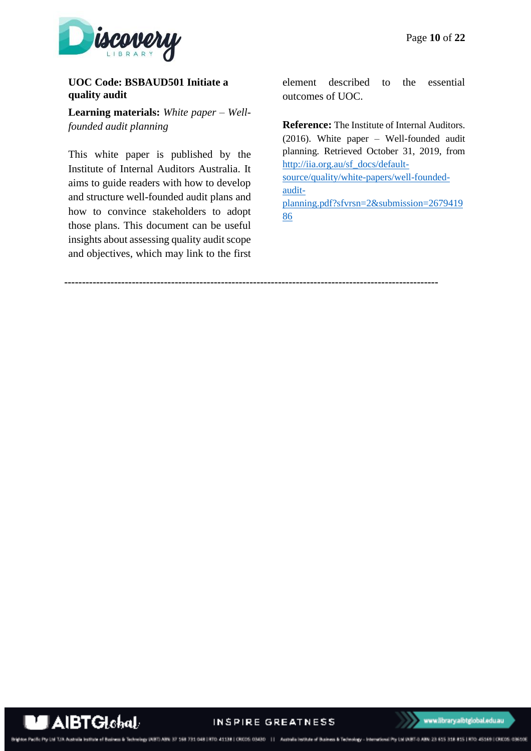

# <span id="page-9-0"></span>**UOC Code: BSBAUD501 Initiate a quality audit**

**Learning materials:** *White paper – Wellfounded audit planning*

This white paper is published by the Institute of Internal Auditors Australia. It aims to guide readers with how to develop and structure well-founded audit plans and how to convince stakeholders to adopt those plans. This document can be useful insights about assessing quality audit scope and objectives, which may link to the first

element described to the essential outcomes of UOC.

**Reference:** The Institute of Internal Auditors. (2016). White paper – Well-founded audit planning*.* Retrieved October 31, 2019, from [http://iia.org.au/sf\\_docs/default](http://iia.org.au/sf_docs/default-source/quality/white-papers/well-founded-audit-planning.pdf?sfvrsn=2&submission=267941986)[source/quality/white-papers/well-founded](http://iia.org.au/sf_docs/default-source/quality/white-papers/well-founded-audit-planning.pdf?sfvrsn=2&submission=267941986)[audit](http://iia.org.au/sf_docs/default-source/quality/white-papers/well-founded-audit-planning.pdf?sfvrsn=2&submission=267941986)[planning.pdf?sfvrsn=2&submission=2679419](http://iia.org.au/sf_docs/default-source/quality/white-papers/well-founded-audit-planning.pdf?sfvrsn=2&submission=267941986) [86](http://iia.org.au/sf_docs/default-source/quality/white-papers/well-founded-audit-planning.pdf?sfvrsn=2&submission=267941986)

**---------------------------------------------------------------------------------------------------------**



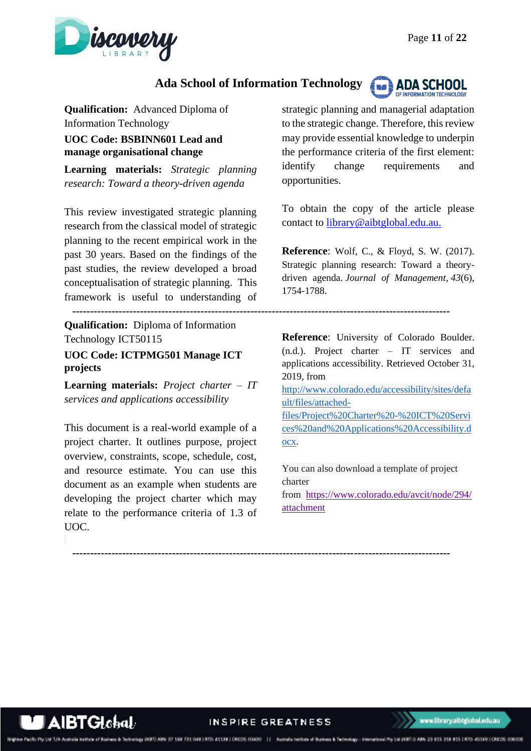

# **Ada School of Information Technology**



**Qualification:** Advanced Diploma of Information Technology

<span id="page-10-0"></span>**UOC Code: BSBINN601 Lead and manage organisational change** 

**Learning materials:** *Strategic planning research: Toward a theory-driven agenda*

This review investigated strategic planning research from the classical model of strategic planning to the recent empirical work in the past 30 years. Based on the findings of the past studies, the review developed a broad conceptualisation of strategic planning. This framework is useful to understanding of

 **---------------------------------------------------------------------------------------------------------- Qualification:** Diploma of Information Technology ICT50115

<span id="page-10-1"></span>**UOC Code: ICTPMG501 Manage ICT projects**

**Learning materials:** *Project charter – IT services and applications accessibility*

This document is a real-world example of a project charter. It outlines purpose, project overview, constraints, scope, schedule, cost, and resource estimate. You can use this document as an example when students are developing the project charter which may relate to the performance criteria of 1.3 of UOC.

strategic planning and managerial adaptation to the strategic change. Therefore, this review may provide essential knowledge to underpin the performance criteria of the first element: identify change requirements and opportunities.

To obtain the copy of the article please contact to [library@aibtglobal.edu.au.](mailto:library@aibtglobal.edu.au)

**Reference**: Wolf, C., & Floyd, S. W. (2017). Strategic planning research: Toward a theorydriven agenda. *Journal of Management*, *43*(6), 1754-1788.

**Reference**: University of Colorado Boulder. (n.d.). Project charter – IT services and applications accessibility. Retrieved October 31, 2019, from [http://www.colorado.edu/accessibility/sites/defa](http://www.colorado.edu/accessibility/sites/default/files/attached-files/Project%20Charter%20-%20ICT%20Services%20and%20Applications%20Accessibility.docx)

[ult/files/attached](http://www.colorado.edu/accessibility/sites/default/files/attached-files/Project%20Charter%20-%20ICT%20Services%20and%20Applications%20Accessibility.docx)[files/Project%20Charter%20-%20ICT%20Servi](http://www.colorado.edu/accessibility/sites/default/files/attached-files/Project%20Charter%20-%20ICT%20Services%20and%20Applications%20Accessibility.docx) [ces%20and%20Applications%20Accessibility.d](http://www.colorado.edu/accessibility/sites/default/files/attached-files/Project%20Charter%20-%20ICT%20Services%20and%20Applications%20Accessibility.docx) [ocx.](http://www.colorado.edu/accessibility/sites/default/files/attached-files/Project%20Charter%20-%20ICT%20Services%20and%20Applications%20Accessibility.docx)

You can also download a template of project charter from [https://www.colorado.edu/avcit/node/294/](https://www.colorado.edu/avcit/node/294/attachment)

[attachment](https://www.colorado.edu/avcit/node/294/attachment)

IBTGIshal/ develops (ABT) ABN 37 168 731 048 | RTO-41138 | CROSS 03430 | | Avenue legiture of Business & Technology - International Pro Ltd (ABT-0 ABN 23 615 318 815 1470 45169 | CROSS 03610E

INSPIRE GREATNESS

 **----------------------------------------------------------------------------------------------------------**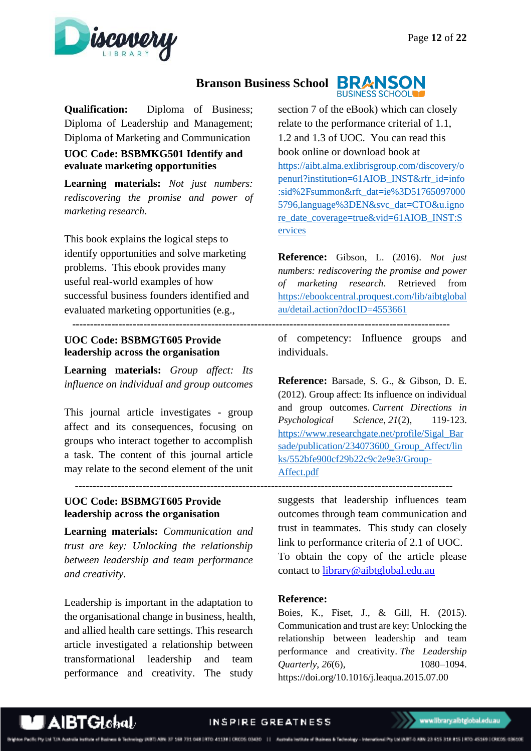

#### **Branson Business School BRANSON BUSINESS SCHOOL**

**Qualification:** Diploma of Business; Diploma of Leadership and Management; Diploma of Marketing and Communication

# <span id="page-11-0"></span>**UOC Code: BSBMKG501 Identify and evaluate marketing opportunities**

**Learning materials:** *Not just numbers: rediscovering the promise and power of marketing research*.

This book explains the logical steps to identify opportunities and solve marketing problems. This ebook provides many useful real-world examples of how successful business founders identified and evaluated marketing opportunities (e.g.,

# <span id="page-11-1"></span>**UOC Code: BSBMGT605 Provide leadership across the organisation**

 **----------------------------------------------------------------------------------------------------------**

**Learning materials:** *Group affect: Its influence on individual and group outcomes*

This journal article investigates - group affect and its consequences, focusing on groups who interact together to accomplish a task. The content of this journal article may relate to the second element of the unit

# <span id="page-11-2"></span>**UOC Code: BSBMGT605 Provide leadership across the organisation**

**Learning materials:** *Communication and trust are key: Unlocking the relationship between leadership and team performance and creativity.*

Leadership is important in the adaptation to the organisational change in business, health, and allied health care settings. This research article investigated a relationship between transformational leadership and team performance and creativity. The study

section 7 of the eBook) which can closely relate to the performance criterial of 1.1, 1.2 and 1.3 of UOC. You can read this book online or download book at [https://aibt.alma.exlibrisgroup.com/discovery/o](https://aibt.alma.exlibrisgroup.com/discovery/openurl?institution=61AIOB_INST&rfr_id=info:sid%2Fsummon&rft_dat=ie%3D517650970005796,language%3DEN&svc_dat=CTO&u.ignore_date_coverage=true&vid=61AIOB_INST:Services) [penurl?institution=61AIOB\\_INST&rfr\\_id=info](https://aibt.alma.exlibrisgroup.com/discovery/openurl?institution=61AIOB_INST&rfr_id=info:sid%2Fsummon&rft_dat=ie%3D517650970005796,language%3DEN&svc_dat=CTO&u.ignore_date_coverage=true&vid=61AIOB_INST:Services) [:sid%2Fsummon&rft\\_dat=ie%3D51765097000](https://aibt.alma.exlibrisgroup.com/discovery/openurl?institution=61AIOB_INST&rfr_id=info:sid%2Fsummon&rft_dat=ie%3D517650970005796,language%3DEN&svc_dat=CTO&u.ignore_date_coverage=true&vid=61AIOB_INST:Services) [5796,language%3DEN&svc\\_dat=CTO&u.igno](https://aibt.alma.exlibrisgroup.com/discovery/openurl?institution=61AIOB_INST&rfr_id=info:sid%2Fsummon&rft_dat=ie%3D517650970005796,language%3DEN&svc_dat=CTO&u.ignore_date_coverage=true&vid=61AIOB_INST:Services) [re\\_date\\_coverage=true&vid=61AIOB\\_INST:S](https://aibt.alma.exlibrisgroup.com/discovery/openurl?institution=61AIOB_INST&rfr_id=info:sid%2Fsummon&rft_dat=ie%3D517650970005796,language%3DEN&svc_dat=CTO&u.ignore_date_coverage=true&vid=61AIOB_INST:Services) [ervices](https://aibt.alma.exlibrisgroup.com/discovery/openurl?institution=61AIOB_INST&rfr_id=info:sid%2Fsummon&rft_dat=ie%3D517650970005796,language%3DEN&svc_dat=CTO&u.ignore_date_coverage=true&vid=61AIOB_INST:Services)

**Reference:** Gibson, L. (2016). *Not just numbers: rediscovering the promise and power of marketing research*. Retrieved from [https://ebookcentral.proquest.com/lib/aibtglobal](https://ebookcentral.proquest.com/lib/aibtglobalau/detail.action?docID=4553661) [au/detail.action?docID=4553661](https://ebookcentral.proquest.com/lib/aibtglobalau/detail.action?docID=4553661)

of competency: Influence groups and individuals.

**Reference:** Barsade, S. G., & Gibson, D. E. (2012). Group affect: Its influence on individual and group outcomes. *Current Directions in Psychological Science*, *21*(2), 119-123. [https://www.researchgate.net/profile/Sigal\\_Bar](https://www.researchgate.net/profile/Sigal_Barsade/publication/234073600_Group_Affect/links/552bfe900cf29b22c9c2e9e3/Group-Affect.pdf) [sade/publication/234073600\\_Group\\_Affect/lin](https://www.researchgate.net/profile/Sigal_Barsade/publication/234073600_Group_Affect/links/552bfe900cf29b22c9c2e9e3/Group-Affect.pdf) [ks/552bfe900cf29b22c9c2e9e3/Group-](https://www.researchgate.net/profile/Sigal_Barsade/publication/234073600_Group_Affect/links/552bfe900cf29b22c9c2e9e3/Group-Affect.pdf)[Affect.pdf](https://www.researchgate.net/profile/Sigal_Barsade/publication/234073600_Group_Affect/links/552bfe900cf29b22c9c2e9e3/Group-Affect.pdf)

suggests that leadership influences team outcomes through team communication and trust in teammates. This study can closely link to performance criteria of 2.1 of UOC. To obtain the copy of the article please contact to [library@aibtglobal.edu.au](mailto:library@aibtglobal.edu.au)

#### **Reference:**

Boies, K., Fiset, J., & Gill, H. (2015). Communication and trust are key: Unlocking the relationship between leadership and team performance and creativity. *The Leadership Quarterly*, *26*(6), 1080–1094. https://doi.org/10.1016/j.leaqua.2015.07.00



Technology UNED ABN: 37 168 731 048 | RTO: 41138 | CRODS: 03430 | | | Australia Institute of Business & Technology - International Pty Ltd UNET-0 ABN: 23 615 318 815 | RTO: 45169 | CRODS: 03610E

 **----------------------------------------------------------------------------------------------------------**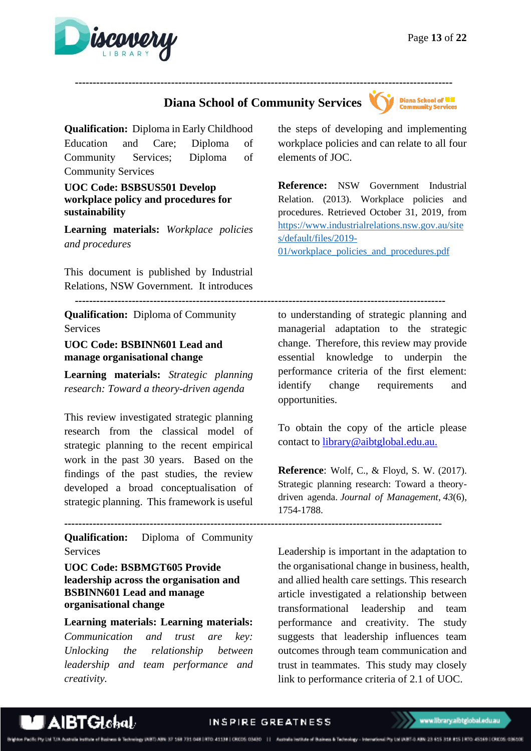

# **Diana School of Community Services**

 **----------------------------------------------------------------------------------------------------------**



**Qualification:** Diploma in Early Childhood Education and Care; Diploma of Community Services; Diploma of Community Services

#### <span id="page-12-0"></span>**UOC Code: BSBSUS501 Develop workplace policy and procedures for sustainability**

**Learning materials:** *Workplace policies and procedures*

This document is published by Industrial Relations, NSW Government. It introduces

 **--------------------------------------------------------------------------------------------------------**

**Qualification:** Diploma of Community Services

#### <span id="page-12-1"></span>**UOC Code: BSBINN601 Lead and manage organisational change**

**Learning materials:** *Strategic planning research: Toward a theory-driven agenda* 

This review investigated strategic planning research from the classical model of strategic planning to the recent empirical work in the past 30 years. Based on the findings of the past studies, the review developed a broad conceptualisation of strategic planning. This framework is useful

**Qualification:** Diploma of Community Services

<span id="page-12-2"></span>**UOC Code: BSBMGT605 Provide leadership across the organisation and BSBINN601 Lead and manage organisational change**

**Learning materials: Learning materials:** *Communication and trust are key: Unlocking the relationship between leadership and team performance and creativity.*

the steps of developing and implementing workplace policies and can relate to all four elements of JOC.

**Reference:** NSW Government Industrial Relation. (2013). Workplace policies and procedures. Retrieved October 31, 2019, from [https://www.industrialrelations.nsw.gov.au/site](https://www.industrialrelations.nsw.gov.au/sites/default/files/2019-01/workplace_policies_and_procedures.pdf) [s/default/files/2019-](https://www.industrialrelations.nsw.gov.au/sites/default/files/2019-01/workplace_policies_and_procedures.pdf) [01/workplace\\_policies\\_and\\_procedures.pdf](https://www.industrialrelations.nsw.gov.au/sites/default/files/2019-01/workplace_policies_and_procedures.pdf)

to understanding of strategic planning and managerial adaptation to the strategic change. Therefore, this review may provide essential knowledge to underpin the performance criteria of the first element: identify change requirements and opportunities.

To obtain the copy of the article please contact to [library@aibtglobal.edu.au.](mailto:library@aibtglobal.edu.au)

**Reference**: Wolf, C., & Floyd, S. W. (2017). Strategic planning research: Toward a theorydriven agenda. *Journal of Management*, *43*(6), 1754-1788.

Leadership is important in the adaptation to the organisational change in business, health, and allied health care settings. This research article investigated a relationship between transformational leadership and team performance and creativity. The study suggests that leadership influences team outcomes through team communication and trust in teammates. This study may closely link to performance criteria of 2.1 of UOC.



**----------------------------------------------------------------------------------------------------------**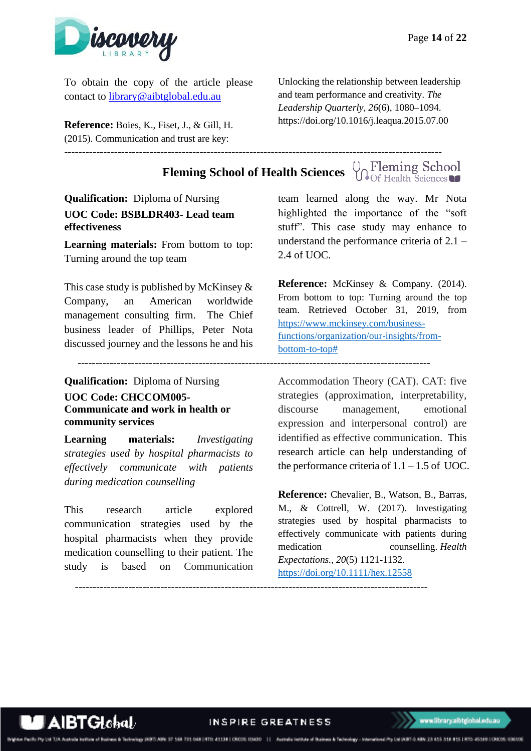

To obtain the copy of the article please contact to [library@aibtglobal.edu.au](mailto:library@aibtglobal.edu.au)

**Reference:** Boies, K., Fiset, J., & Gill, H. (2015). Communication and trust are key:  $-1.1$ 

Unlocking the relationship between leadership and team performance and creativity. *The Leadership Quarterly*, *26*(6), 1080–1094. https://doi.org/10.1016/j.leaqua.2015.07.00

# **Fleming School of Health Sciences**  $\bigcup_{\text{Of Health Sciences}}$

<span id="page-13-0"></span>**Qualification:** Diploma of Nursing **UOC Code: BSBLDR403- Lead team effectiveness**

**Learning materials:** From bottom to top: Turning around the top team

This case study is published by McKinsey  $\&$ Company, an American worldwide management consulting firm. The Chief business leader of Phillips, Peter Nota discussed journey and the lessons he and his

---------------------------------------------------------------------------------------------------

**Qualification:** Diploma of Nursing

<span id="page-13-1"></span>**UOC Code: CHCCOM005- Communicate and work in health or community services**

**Learning materials:** *Investigating strategies used by hospital pharmacists to effectively communicate with patients during medication counselling*

This research article explored communication strategies used by the hospital pharmacists when they provide medication counselling to their patient. The study is based on Communication team learned along the way. Mr Nota highlighted the importance of the "soft stuff". This case study may enhance to understand the performance criteria of 2.1 – 2.4 of UOC.

**Reference:** McKinsey & Company. (2014). From bottom to top: Turning around the top team. Retrieved October 31, 2019, from [https://www.mckinsey.com/business](https://www.mckinsey.com/business-functions/organization/our-insights/from-bottom-to-top)[functions/organization/our-insights/from](https://www.mckinsey.com/business-functions/organization/our-insights/from-bottom-to-top)[bottom-to-top#](https://www.mckinsey.com/business-functions/organization/our-insights/from-bottom-to-top)

Accommodation Theory (CAT). CAT: five strategies (approximation, interpretability, discourse management, emotional expression and interpersonal control) are identified as effective communication. This research article can help understanding of the performance criteria of  $1.1 - 1.5$  of UOC.

**Reference:** Chevalier, B., Watson, B., Barras, M., & Cottrell, W. (2017). Investigating strategies used by hospital pharmacists to effectively communicate with patients during medication counselling. *Health Expectations.*, *20*(5) 1121-1132. <https://doi.org/10.1111/hex.12558>



INSPIRE GREATNESS

---------------------------------------------------------------------------------------------------

ebrology INBT) ABN: 37 168 731 048 | RTO: 41138 | CRCOS 03430 | | | Australia Institute of Business & Technology - International Pty Ltd IABT-0 ABN: 23 615 318 815 | RTO: 45169 | CRCOS 03610E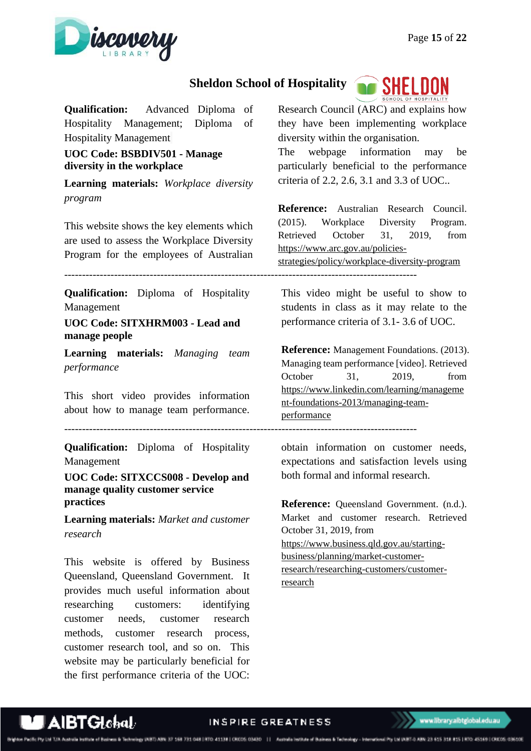

# **Sheldon School of Hospitality**

**Qualification:** Advanced Diploma of Hospitality Management; Diploma of Hospitality Management

<span id="page-14-0"></span>**UOC Code: BSBDIV501 - Manage diversity in the workplace**

**Learning materials:** *Workplace diversity program*

This website shows the key elements which are used to assess the Workplace Diversity Program for the employees of Australian Research Council (ARC) and explains how they have been implementing workplace diversity within the organisation.

**ag**`SHELDON

The webpage information may be particularly beneficial to the performance criteria of 2.2, 2.6, 3.1 and 3.3 of UOC..

**Reference:** Australian Research Council. (2015). Workplace Diversity Program. Retrieved October 31, 2019, from [https://www.arc.gov.au/policies-](https://www.arc.gov.au/policies-strategies/policy/workplace-diversity-program)

[strategies/policy/workplace-diversity-program](https://www.arc.gov.au/policies-strategies/policy/workplace-diversity-program)

---------------------------------------------------------------------------------------------------

**Qualification:** Diploma of Hospitality Management

<span id="page-14-1"></span>**UOC Code: SITXHRM003 - Lead and manage people**

**Learning materials:** *Managing team performance* 

This short video provides information about how to manage team performance.

---------------------------------------------------------------------------------------------------

**Qualification:** Diploma of Hospitality Management

<span id="page-14-2"></span>**UOC Code: SITXCCS008 - Develop and manage quality customer service practices**

**Learning materials:** *Market and customer research*

This website is offered by Business Queensland, Queensland Government. It provides much useful information about researching customers: identifying customer needs, customer research methods, customer research process, customer research tool, and so on. This website may be particularly beneficial for the first performance criteria of the UOC:

This video might be useful to show to students in class as it may relate to the performance criteria of 3.1- 3.6 of UOC.

**Reference:** Management Foundations. (2013). Managing team performance [video]. Retrieved October 31, 2019, from [https://www.linkedin.com/learning/manageme](https://www.linkedin.com/learning/management-foundations-2013/managing-team-performance) [nt-foundations-2013/managing-team](https://www.linkedin.com/learning/management-foundations-2013/managing-team-performance)[performance](https://www.linkedin.com/learning/management-foundations-2013/managing-team-performance)

obtain information on customer needs, expectations and satisfaction levels using both formal and informal research.

**Reference:** Queensland Government. (n.d.). Market and customer research. Retrieved October 31, 2019, from [https://www.business.qld.gov.au/starting](https://www.business.qld.gov.au/starting-business/planning/market-customer-research/researching-customers/customer-research)[business/planning/market-customer](https://www.business.qld.gov.au/starting-business/planning/market-customer-research/researching-customers/customer-research)[research/researching-customers/customer](https://www.business.qld.gov.au/starting-business/planning/market-customer-research/researching-customers/customer-research)[research](https://www.business.qld.gov.au/starting-business/planning/market-customer-research/researching-customers/customer-research)

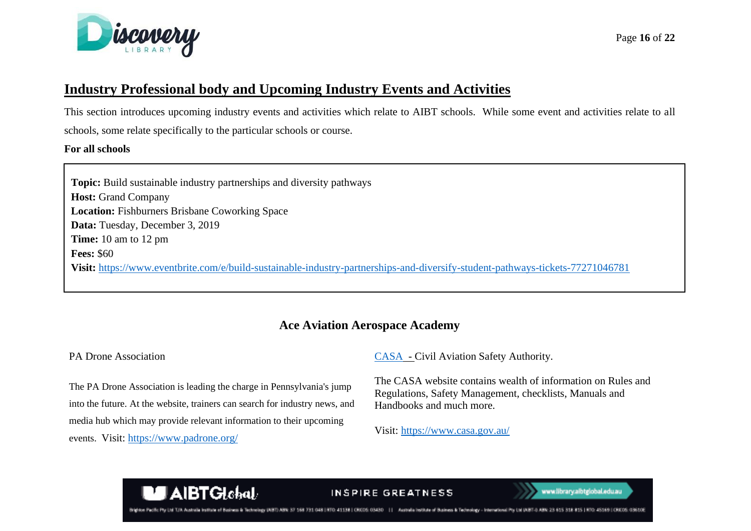

# **Industry Professional body and Upcoming Industry Events and Activities**

This section introduces upcoming industry events and activities which relate to AIBT schools. While some event and activities relate to all schools, some relate specifically to the particular schools or course.

#### **For all schools**

**For all schools: Topic:** Build sustainable industry partnerships and diversity pathways **Host:** Grand Company **Location:** Fishburners Brisbane Coworking Space **Data:** Tuesday, December 3, 2019 **Time:** 10 am to 12 pm **Fees:** \$60 **Visit:** <https://www.eventbrite.com/e/build-sustainable-industry-partnerships-and-diversify-student-pathways-tickets-77271046781>

# **Ace Aviation Aerospace Academy**

#### <span id="page-15-0"></span>PA Drone Association

The PA Drone Association is leading the charge in Pennsylvania's jump into the future. At the website, trainers can search for industry news, and media hub which may provide relevant information to their upcoming events. Visit:<https://www.padrone.org/>

[CASA](https://www.casa.gov.au/) - Civil Aviation Safety Authority.

The CASA website contains wealth of information on Rules and Regulations, Safety Management, checklists, Manuals and Handbooks and much more.

Visit:<https://www.casa.gov.au/>



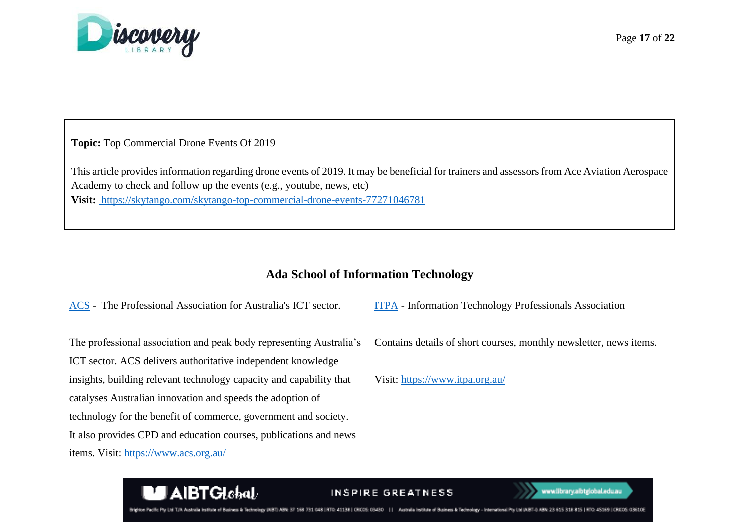

**Topic:** Top Commercial Drone Events Of 2019

This article provides information regarding drone events of 2019. It may be beneficial for trainers and assessors from Ace Aviation Aerospace Academy to check and follow up the events (e.g., youtube, news, etc) **Visit:** <https://skytango.com/skytango-top-commercial-drone-events-77271046781>

# **Ada School of Information Technology**

[ACS](https://www.acs.org.au/) - The Professional Association for Australia's ICT sector.

The professional association and peak body representing Australia's ICT sector. ACS delivers authoritative independent knowledge insights, building relevant technology capacity and capability that

catalyses Australian innovation and speeds the adoption of

technology for the benefit of commerce, government and society.

It also provides CPD and education courses, publications and news

items. Visit:<https://www.acs.org.au/>

[ITPA](https://www.itpa.org.au/) - [Information Technology Professionals Association](https://www.itpa.org.au/)

Contains details of short courses, monthly newsletter, news items.

Visit:<https://www.itpa.org.au/>



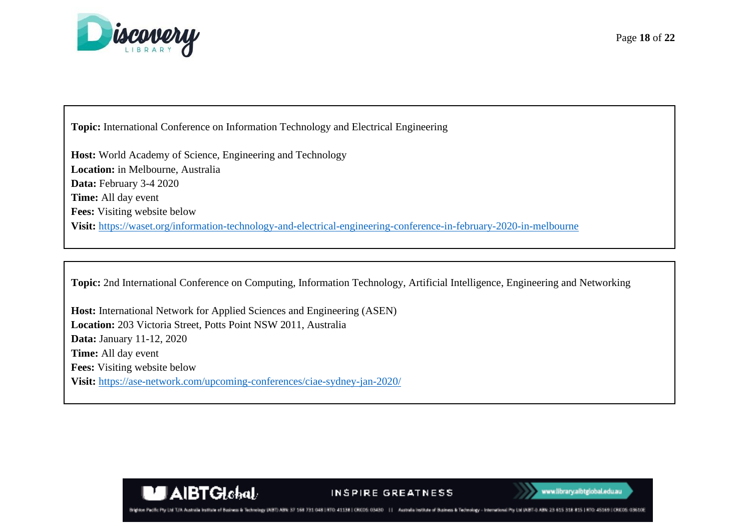

**Topic:** International Conference on Information Technology and Electrical Engineering

**Host:** World Academy of Science, Engineering and Technology **Location:** in Melbourne, Australia **Data:** February 3-4 2020 **Time:** All day event **Fees:** Visiting website below **Visit:** <https://waset.org/information-technology-and-electrical-engineering-conference-in-february-2020-in-melbourne>

**Topic:** 2nd International Conference on Computing, Information Technology, Artificial Intelligence, Engineering and Networking

**Host:** International Network for Applied Sciences and Engineering (ASEN) **Location:** 203 Victoria Street, Potts Point NSW 2011, Australia **Data:** January 11-12, 2020 **Time:** All day event **Fees:** Visiting website below **Visit:** <https://ase-network.com/upcoming-conferences/ciae-sydney-jan-2020/>

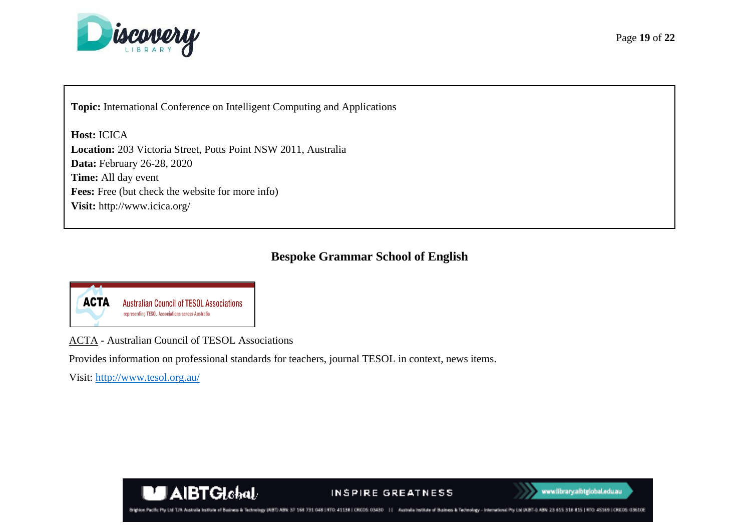

**Topic:** International Conference on Intelligent Computing and Applications

**Host:** ICICA **Location:** 203 Victoria Street, Potts Point NSW 2011, Australia **Data:** February 26-28, 2020 **Time:** All day event **Fees:** Free (but check the website for more info) **Visit:** http://www.icica.org/

# **Bespoke Grammar School of English**



ACTA - Australian Council of TESOL Associations

Provides information on professional standards for teachers, journal TESOL in context, news items.

Visit:<http://www.tesol.org.au/>



#### INSPIRE GREATNESS



Brighton Pacific Pty Ltd T/A Australia Institute of Business & Technology UNED ABN: 37 168 731 048 | ATC2 41338 | CRCOS: 03430 | | | Australia Institute of Business & Technology - International Pty Ltd IABT-0 ABN: 23 615 3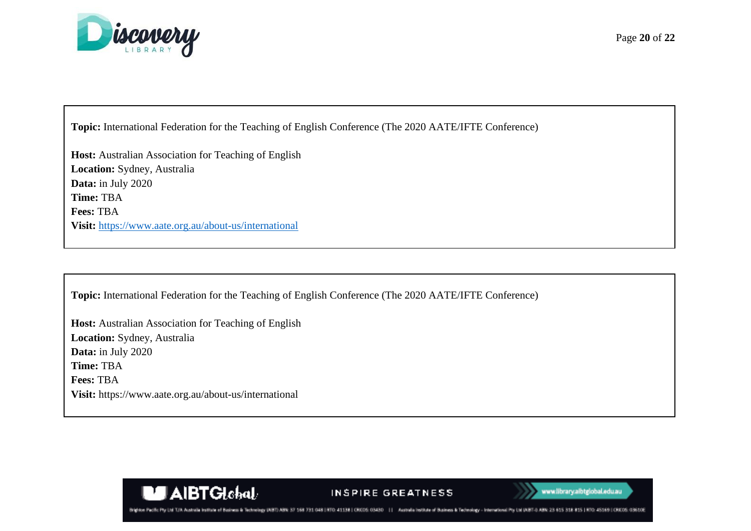

**Topic:** International Federation for the Teaching of English Conference (The 2020 AATE/IFTE Conference)

**Host:** Australian Association for Teaching of English **Location:** Sydney, Australia **Data:** in July 2020 **Time:** TBA **Fees:** TBA **Visit:** <https://www.aate.org.au/about-us/international>

**Topic:** International Federation for the Teaching of English Conference (The 2020 AATE/IFTE Conference)

**Host:** Australian Association for Teaching of English **Location:** Sydney, Australia **Data:** in July 2020 **Time:** TBA **Fees:** TBA **Visit:** https://www.aate.org.au/about-us/international

**MAIBTGlobal** 



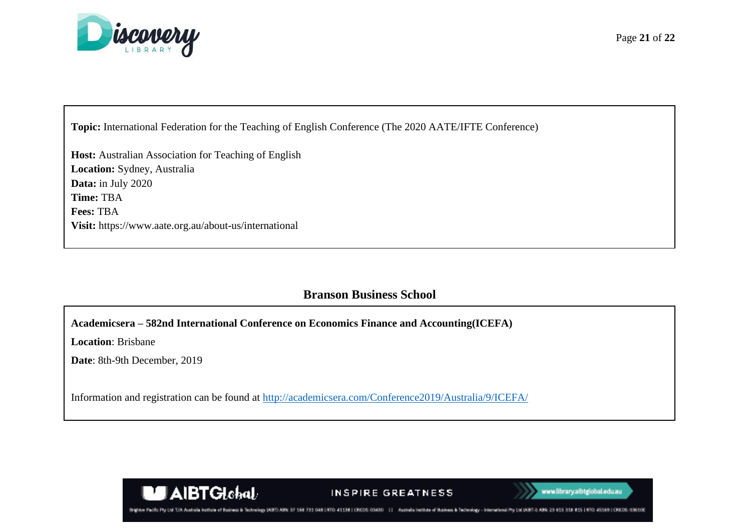

**Topic:** International Federation for the Teaching of English Conference (The 2020 AATE/IFTE Conference)

**Host:** Australian Association for Teaching of English **Location:** Sydney, Australia **Data:** in July 2020 **Time:** TBA **Fees:** TBA **Visit:** https://www.aate.org.au/about-us/international

**MEXIBTGlobal** 

# **Branson Business School**

**Academicsera – 582nd International Conference on Economics Finance and Accounting(ICEFA)**

**Location**: Brisbane

**Date**: 8th-9th December, 2019

Information and registration can be found at<http://academicsera.com/Conference2019/Australia/9/ICEFA/>





TAN Australia beginnte of Regissers & Tackswings; USBT: MRN-R3 TTO: 41138 | CRICOS: 03430 | | Australia Institute of Business & Technology - International Pty Ltd (ABT-0 ABN)